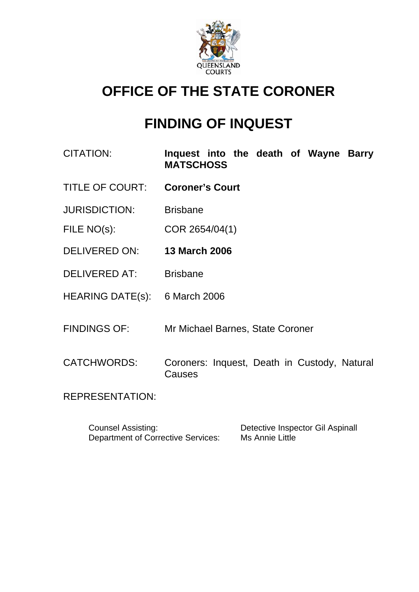

# **OFFICE OF THE STATE CORONER**

# **FINDING OF INQUEST**

- CITATION: **Inquest into the death of Wayne Barry MATSCHOSS**
- TITLE OF COURT: **Coroner's Court**
- JURISDICTION: Brisbane
- FILE NO(s): COR 2654/04(1)
- DELIVERED ON: **13 March 2006**
- DELIVERED AT: Brisbane
- HEARING DATE(s): 6 March 2006
- FINDINGS OF: Mr Michael Barnes, State Coroner
- CATCHWORDS: Coroners: Inquest, Death in Custody, Natural Causes

REPRESENTATION:

| <b>Counsel Assisting:</b>                 | Detective Inspector Gil Aspinall |
|-------------------------------------------|----------------------------------|
| <b>Department of Corrective Services:</b> | Ms Annie Little                  |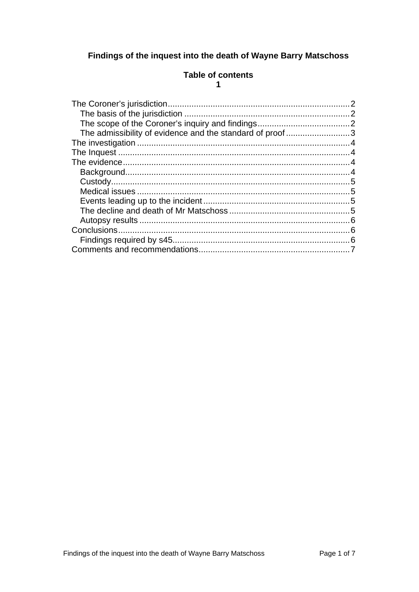# <span id="page-1-0"></span>Findings of the inquest into the death of Wayne Barry Matschoss

#### **Table of contents**  $\overline{1}$

| The admissibility of evidence and the standard of proof3 |  |
|----------------------------------------------------------|--|
|                                                          |  |
|                                                          |  |
|                                                          |  |
|                                                          |  |
|                                                          |  |
|                                                          |  |
|                                                          |  |
|                                                          |  |
|                                                          |  |
|                                                          |  |
|                                                          |  |
|                                                          |  |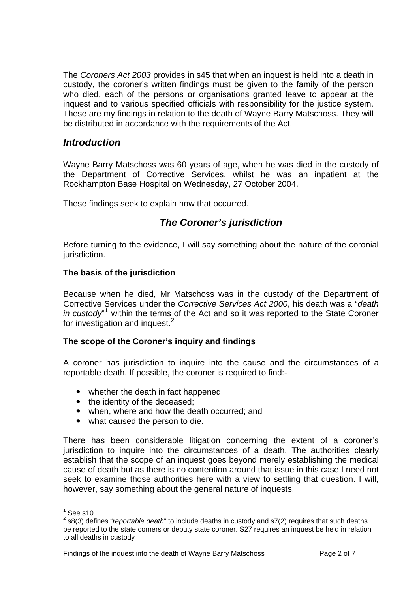<span id="page-2-0"></span>The *Coroners Act 2003* provides in s45 that when an inquest is held into a death in custody, the coroner's written findings must be given to the family of the person who died, each of the persons or organisations granted leave to appear at the inquest and to various specified officials with responsibility for the justice system. These are my findings in relation to the death of Wayne Barry Matschoss. They will be distributed in accordance with the requirements of the Act.

# *Introduction*

Wayne Barry Matschoss was 60 years of age, when he was died in the custody of the Department of Corrective Services, whilst he was an inpatient at the Rockhampton Base Hospital on Wednesday, 27 October 2004.

These findings seek to explain how that occurred.

## *The Coroner's jurisdiction*

Before turning to the evidence, I will say something about the nature of the coronial jurisdiction.

#### **The basis of the jurisdiction**

Because when he died, Mr Matschoss was in the custody of the Department of Corrective Services under the *Corrective Services Act 2000*, his death was a "*death*  in custody<sup>"[1](#page-2-1)</sup> within the terms of the Act and so it was reported to the State Coroner for investigation and inquest.<sup>[2](#page-2-2)</sup>

#### **The scope of the Coroner's inquiry and findings**

A coroner has jurisdiction to inquire into the cause and the circumstances of a reportable death. If possible, the coroner is required to find:-

- whether the death in fact happened
- the identity of the deceased;
- when, where and how the death occurred; and
- what caused the person to die.

There has been considerable litigation concerning the extent of a coroner's jurisdiction to inquire into the circumstances of a death. The authorities clearly establish that the scope of an inquest goes beyond merely establishing the medical cause of death but as there is no contention around that issue in this case I need not seek to examine those authorities here with a view to settling that question. I will, however, say something about the general nature of inquests.

 $\frac{1}{1}$ See s10

<span id="page-2-2"></span><span id="page-2-1"></span><sup>2</sup> s8(3) defines "*reportable death*" to include deaths in custody and s7(2) requires that such deaths be reported to the state corners or deputy state coroner. S27 requires an inquest be held in relation to all deaths in custody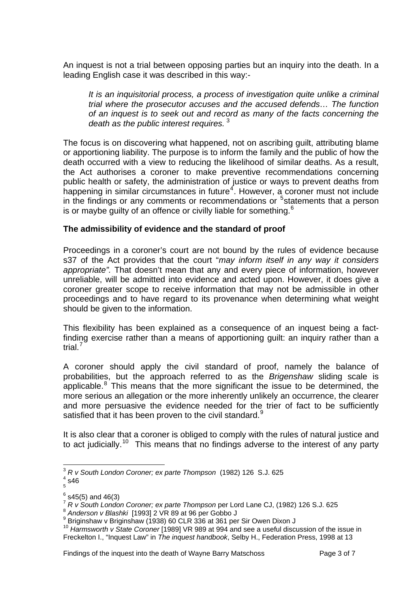<span id="page-3-0"></span>An inquest is not a trial between opposing parties but an inquiry into the death. In a leading English case it was described in this way:-

*It is an inquisitorial process, a process of investigation quite unlike a criminal trial where the prosecutor accuses and the accused defends… The function of an inquest is to seek out and record as many of the facts concerning the death as the public interest requires.* [3](#page-3-1)

The focus is on discovering what happened, not on ascribing guilt, attributing blame or apportioning liability. The purpose is to inform the family and the public of how the death occurred with a view to reducing the likelihood of similar deaths. As a result, the Act authorises a coroner to make preventive recommendations concerning public health or safety, the administration of justice or ways to prevent deaths from happening in similar circumstances in future<sup>[4](#page-3-2)</sup>. However, a coroner must not include in the findings or any comments or recommendations or  $5$  statements that a person is or maybe quilty of an offence or civilly liable for something. $6$ 

#### **The admissibility of evidence and the standard of proof**

Proceedings in a coroner's court are not bound by the rules of evidence because s37 of the Act provides that the court "*may inform itself in any way it considers appropriate".* That doesn't mean that any and every piece of information, however unreliable, will be admitted into evidence and acted upon. However, it does give a coroner greater scope to receive information that may not be admissible in other proceedings and to have regard to its provenance when determining what weight should be given to the information.

This flexibility has been explained as a consequence of an inquest being a factfinding exercise rather than a means of apportioning guilt: an inquiry rather than a trial.<sup>[7](#page-3-5)</sup>

A coroner should apply the civil standard of proof, namely the balance of probabilities, but the approach referred to as the *Brigenshaw* sliding scale is applicable. $8$  This means that the more significant the issue to be determined, the more serious an allegation or the more inherently unlikely an occurrence, the clearer and more persuasive the evidence needed for the trier of fact to be sufficiently satisfied that it has been proven to the civil standard. $9$ 

It is also clear that a coroner is obliged to comply with the rules of natural justice and to act judicially.<sup>[10](#page-3-8)</sup> This means that no findings adverse to the interest of any party

l

<span id="page-3-1"></span><sup>3</sup> *R v South London Coroner; ex parte Thompson* (1982) 126 S.J. 625 4

<span id="page-3-2"></span> $4$  s46 5

<span id="page-3-3"></span><sup>。&</sup>lt;br><sup>6</sup> s45(5) and 46(3)

<span id="page-3-5"></span><span id="page-3-4"></span><sup>&</sup>lt;sup>7</sup> *R v South London Coroner; ex parte Thompson* per Lord Lane CJ, (1982) 126 S.J. 625<br><sup>8</sup> Anderson v Blashki [1993] 2 VR 89 at 96 per Gobbo J

<span id="page-3-7"></span><span id="page-3-6"></span>Briginshaw v Briginshaw (1938) 60 CLR 336 at 361 per Sir Owen Dixon J

<span id="page-3-8"></span><sup>10</sup> *Harmsworth v State Coroner* [1989] VR 989 at 994 and see a useful discussion of the issue in Freckelton I., "Inquest Law" in *The inquest handbook*, Selby H., Federation Press, 1998 at 13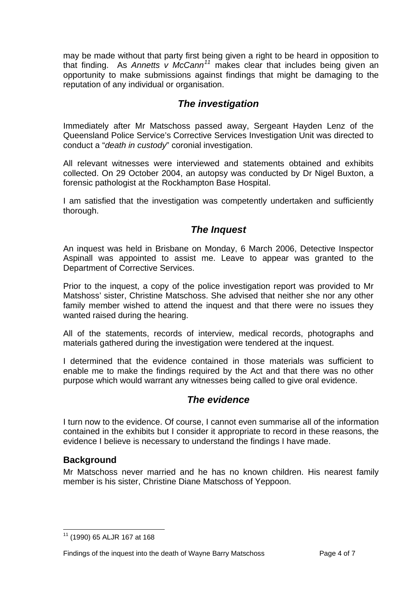<span id="page-4-0"></span>may be made without that party first being given a right to be heard in opposition to that finding. As *Annetts v McCann[11](#page-4-1)* makes clear that includes being given an opportunity to make submissions against findings that might be damaging to the reputation of any individual or organisation.

# *The investigation*

Immediately after Mr Matschoss passed away, Sergeant Hayden Lenz of the Queensland Police Service's Corrective Services Investigation Unit was directed to conduct a "*death in custody*" coronial investigation.

All relevant witnesses were interviewed and statements obtained and exhibits collected. On 29 October 2004, an autopsy was conducted by Dr Nigel Buxton, a forensic pathologist at the Rockhampton Base Hospital.

I am satisfied that the investigation was competently undertaken and sufficiently thorough.

# *The Inquest*

An inquest was held in Brisbane on Monday, 6 March 2006, Detective Inspector Aspinall was appointed to assist me. Leave to appear was granted to the Department of Corrective Services.

Prior to the inquest, a copy of the police investigation report was provided to Mr Matshoss' sister, Christine Matschoss. She advised that neither she nor any other family member wished to attend the inquest and that there were no issues they wanted raised during the hearing.

All of the statements, records of interview, medical records, photographs and materials gathered during the investigation were tendered at the inquest.

I determined that the evidence contained in those materials was sufficient to enable me to make the findings required by the Act and that there was no other purpose which would warrant any witnesses being called to give oral evidence.

# *The evidence*

I turn now to the evidence. Of course, I cannot even summarise all of the information contained in the exhibits but I consider it appropriate to record in these reasons, the evidence I believe is necessary to understand the findings I have made.

## **Background**

Mr Matschoss never married and he has no known children. His nearest family member is his sister, Christine Diane Matschoss of Yeppoon.

<span id="page-4-1"></span>l 11 (1990) 65 ALJR 167 at 168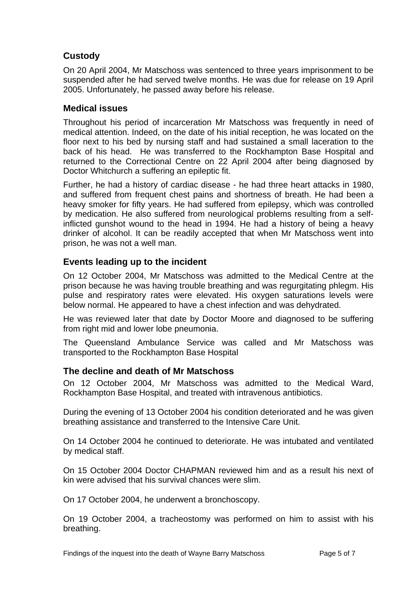# <span id="page-5-0"></span>**Custody**

On 20 April 2004, Mr Matschoss was sentenced to three years imprisonment to be suspended after he had served twelve months. He was due for release on 19 April 2005. Unfortunately, he passed away before his release.

## **Medical issues**

Throughout his period of incarceration Mr Matschoss was frequently in need of medical attention. Indeed, on the date of his initial reception, he was located on the floor next to his bed by nursing staff and had sustained a small laceration to the back of his head. He was transferred to the Rockhampton Base Hospital and returned to the Correctional Centre on 22 April 2004 after being diagnosed by Doctor Whitchurch a suffering an epileptic fit.

Further, he had a history of cardiac disease - he had three heart attacks in 1980, and suffered from frequent chest pains and shortness of breath. He had been a heavy smoker for fifty years. He had suffered from epilepsy, which was controlled by medication. He also suffered from neurological problems resulting from a selfinflicted gunshot wound to the head in 1994. He had a history of being a heavy drinker of alcohol. It can be readily accepted that when Mr Matschoss went into prison, he was not a well man.

## **Events leading up to the incident**

On 12 October 2004, Mr Matschoss was admitted to the Medical Centre at the prison because he was having trouble breathing and was regurgitating phlegm. His pulse and respiratory rates were elevated. His oxygen saturations levels were below normal. He appeared to have a chest infection and was dehydrated.

He was reviewed later that date by Doctor Moore and diagnosed to be suffering from right mid and lower lobe pneumonia.

The Queensland Ambulance Service was called and Mr Matschoss was transported to the Rockhampton Base Hospital

## **The decline and death of Mr Matschoss**

On 12 October 2004, Mr Matschoss was admitted to the Medical Ward, Rockhampton Base Hospital, and treated with intravenous antibiotics.

During the evening of 13 October 2004 his condition deteriorated and he was given breathing assistance and transferred to the Intensive Care Unit.

On 14 October 2004 he continued to deteriorate. He was intubated and ventilated by medical staff.

On 15 October 2004 Doctor CHAPMAN reviewed him and as a result his next of kin were advised that his survival chances were slim.

On 17 October 2004, he underwent a bronchoscopy.

On 19 October 2004, a tracheostomy was performed on him to assist with his breathing.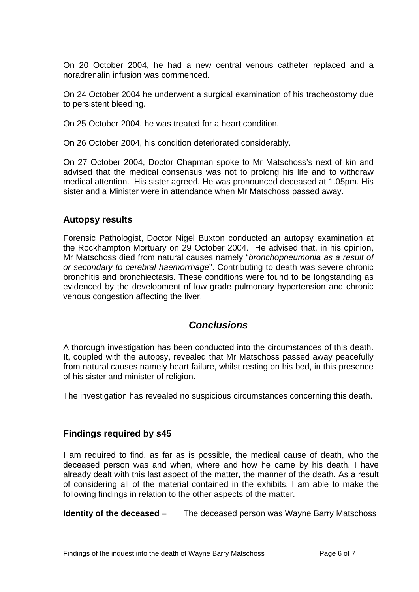<span id="page-6-0"></span>On 20 October 2004, he had a new central venous catheter replaced and a noradrenalin infusion was commenced.

On 24 October 2004 he underwent a surgical examination of his tracheostomy due to persistent bleeding.

On 25 October 2004, he was treated for a heart condition.

On 26 October 2004, his condition deteriorated considerably.

On 27 October 2004, Doctor Chapman spoke to Mr Matschoss's next of kin and advised that the medical consensus was not to prolong his life and to withdraw medical attention. His sister agreed. He was pronounced deceased at 1.05pm. His sister and a Minister were in attendance when Mr Matschoss passed away.

#### **Autopsy results**

Forensic Pathologist, Doctor Nigel Buxton conducted an autopsy examination at the Rockhampton Mortuary on 29 October 2004. He advised that, in his opinion, Mr Matschoss died from natural causes namely "*bronchopneumonia as a result of or secondary to cerebral haemorrhage*". Contributing to death was severe chronic bronchitis and bronchiectasis. These conditions were found to be longstanding as evidenced by the development of low grade pulmonary hypertension and chronic venous congestion affecting the liver.

# *Conclusions*

A thorough investigation has been conducted into the circumstances of this death. It, coupled with the autopsy, revealed that Mr Matschoss passed away peacefully from natural causes namely heart failure, whilst resting on his bed, in this presence of his sister and minister of religion.

The investigation has revealed no suspicious circumstances concerning this death.

## **Findings required by s45**

I am required to find, as far as is possible, the medical cause of death, who the deceased person was and when, where and how he came by his death. I have already dealt with this last aspect of the matter, the manner of the death. As a result of considering all of the material contained in the exhibits, I am able to make the following findings in relation to the other aspects of the matter.

**Identity of the deceased** – The deceased person was Wayne Barry Matschoss